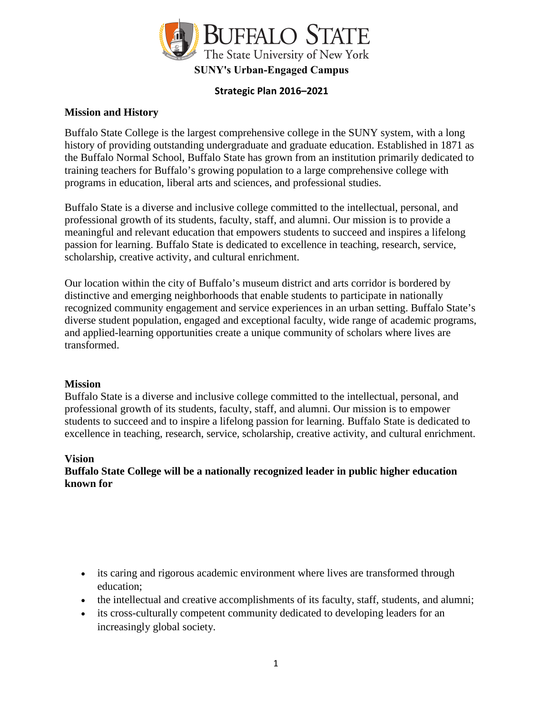

### **Strategic Plan 2016–2021**

### **Mission and History**

Buffalo State College is the largest comprehensive college in the SUNY system, with a long history of providing outstanding undergraduate and graduate education. Established in 1871 as the Buffalo Normal School, Buffalo State has grown from an institution primarily dedicated to training teachers for Buffalo's growing population to a large comprehensive college with programs in education, liberal arts and sciences, and professional studies.

Buffalo State is a diverse and inclusive college committed to the intellectual, personal, and professional growth of its students, faculty, staff, and alumni. Our mission is to provide a meaningful and relevant education that empowers students to succeed and inspires a lifelong passion for learning. Buffalo State is dedicated to excellence in teaching, research, service, scholarship, creative activity, and cultural enrichment.

Our location within the city of Buffalo's museum district and arts corridor is bordered by distinctive and emerging neighborhoods that enable students to participate in nationally recognized community engagement and service experiences in an urban setting. Buffalo State's diverse student population, engaged and exceptional faculty, wide range of academic programs, and applied-learning opportunities create a unique community of scholars where lives are transformed.

#### **Mission**

Buffalo State is a diverse and inclusive college committed to the intellectual, personal, and professional growth of its students, faculty, staff, and alumni. Our mission is to empower students to succeed and to inspire a lifelong passion for learning. Buffalo State is dedicated to excellence in teaching, research, service, scholarship, creative activity, and cultural enrichment.

#### **Vision**

## **Buffalo State College will be a nationally recognized leader in public higher education known for**

- its caring and rigorous academic environment where lives are transformed through education;
- the intellectual and creative accomplishments of its faculty, staff, students, and alumni;
- its cross-culturally competent community dedicated to developing leaders for an increasingly global society.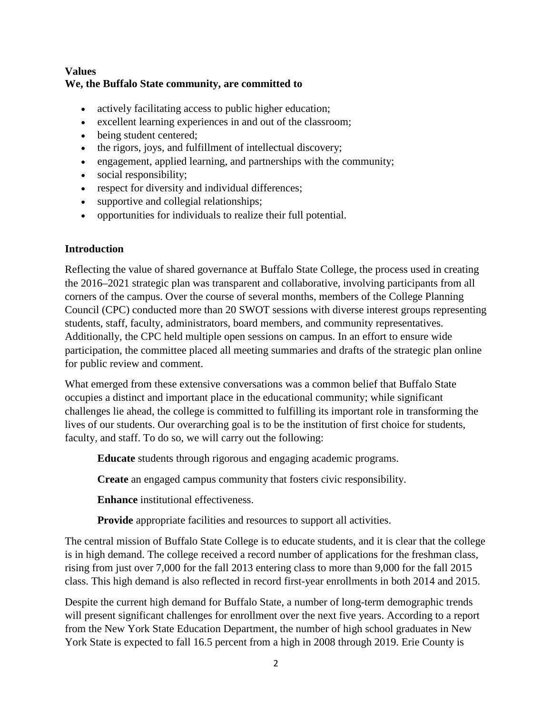## **Values We, the Buffalo State community, are committed to**

- actively facilitating access to public higher education;
- excellent learning experiences in and out of the classroom;
- being student centered;
- the rigors, joys, and fulfillment of intellectual discovery;
- engagement, applied learning, and partnerships with the community;
- social responsibility;
- respect for diversity and individual differences;
- supportive and collegial relationships;
- opportunities for individuals to realize their full potential.

## **Introduction**

Reflecting the value of shared governance at Buffalo State College, the process used in creating the 2016–2021 strategic plan was transparent and collaborative, involving participants from all corners of the campus. Over the course of several months, members of the College Planning Council (CPC) conducted more than 20 SWOT sessions with diverse interest groups representing students, staff, faculty, administrators, board members, and community representatives. Additionally, the CPC held multiple open sessions on campus. In an effort to ensure wide participation, the committee placed all meeting summaries and drafts of the strategic plan online for public review and comment.

What emerged from these extensive conversations was a common belief that Buffalo State occupies a distinct and important place in the educational community; while significant challenges lie ahead, the college is committed to fulfilling its important role in transforming the lives of our students. Our overarching goal is to be the institution of first choice for students, faculty, and staff. To do so, we will carry out the following:

**Educate** students through rigorous and engaging academic programs.

**Create** an engaged campus community that fosters civic responsibility.

**Enhance** institutional effectiveness.

**Provide** appropriate facilities and resources to support all activities.

The central mission of Buffalo State College is to educate students, and it is clear that the college is in high demand. The college received a record number of applications for the freshman class, rising from just over 7,000 for the fall 2013 entering class to more than 9,000 for the fall 2015 class. This high demand is also reflected in record first-year enrollments in both 2014 and 2015.

Despite the current high demand for Buffalo State, a number of long-term demographic trends will present significant challenges for enrollment over the next five years. According to a report from the New York State Education Department, the number of high school graduates in New York State is expected to fall 16.5 percent from a high in 2008 through 2019. Erie County is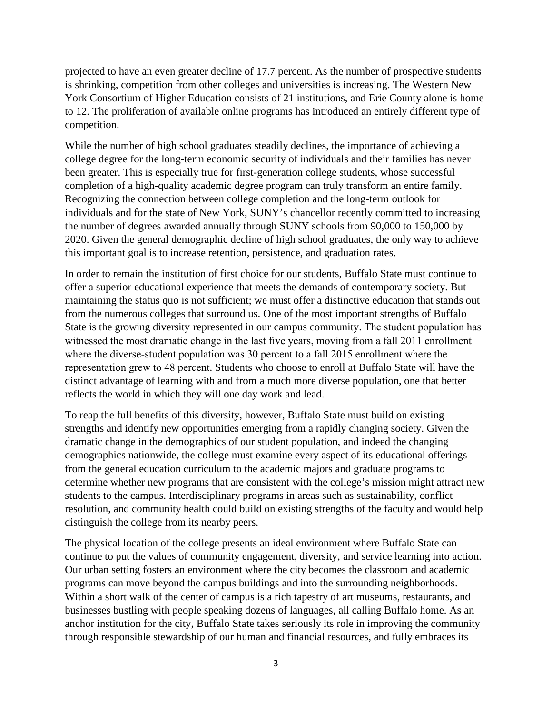projected to have an even greater decline of 17.7 percent. As the number of prospective students is shrinking, competition from other colleges and universities is increasing. The Western New York Consortium of Higher Education consists of 21 institutions, and Erie County alone is home to 12. The proliferation of available online programs has introduced an entirely different type of competition.

While the number of high school graduates steadily declines, the importance of achieving a college degree for the long-term economic security of individuals and their families has never been greater. This is especially true for first-generation college students, whose successful completion of a high-quality academic degree program can truly transform an entire family. Recognizing the connection between college completion and the long-term outlook for individuals and for the state of New York, SUNY's chancellor recently committed to increasing the number of degrees awarded annually through SUNY schools from 90,000 to 150,000 by 2020. Given the general demographic decline of high school graduates, the only way to achieve this important goal is to increase retention, persistence, and graduation rates.

In order to remain the institution of first choice for our students, Buffalo State must continue to offer a superior educational experience that meets the demands of contemporary society. But maintaining the status quo is not sufficient; we must offer a distinctive education that stands out from the numerous colleges that surround us. One of the most important strengths of Buffalo State is the growing diversity represented in our campus community. The student population has witnessed the most dramatic change in the last five years, moving from a fall 2011 enrollment where the diverse-student population was 30 percent to a fall 2015 enrollment where the representation grew to 48 percent. Students who choose to enroll at Buffalo State will have the distinct advantage of learning with and from a much more diverse population, one that better reflects the world in which they will one day work and lead.

To reap the full benefits of this diversity, however, Buffalo State must build on existing strengths and identify new opportunities emerging from a rapidly changing society. Given the dramatic change in the demographics of our student population, and indeed the changing demographics nationwide, the college must examine every aspect of its educational offerings from the general education curriculum to the academic majors and graduate programs to determine whether new programs that are consistent with the college's mission might attract new students to the campus. Interdisciplinary programs in areas such as sustainability, conflict resolution, and community health could build on existing strengths of the faculty and would help distinguish the college from its nearby peers.

The physical location of the college presents an ideal environment where Buffalo State can continue to put the values of community engagement, diversity, and service learning into action. Our urban setting fosters an environment where the city becomes the classroom and academic programs can move beyond the campus buildings and into the surrounding neighborhoods. Within a short walk of the center of campus is a rich tapestry of art museums, restaurants, and businesses bustling with people speaking dozens of languages, all calling Buffalo home. As an anchor institution for the city, Buffalo State takes seriously its role in improving the community through responsible stewardship of our human and financial resources, and fully embraces its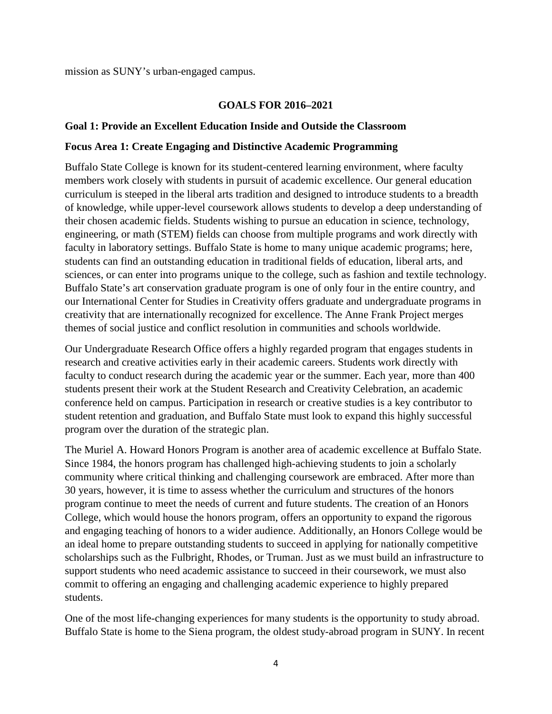mission as SUNY's urban-engaged campus.

### **GOALS FOR 2016–2021**

#### **Goal 1: Provide an Excellent Education Inside and Outside the Classroom**

#### **Focus Area 1: Create Engaging and Distinctive Academic Programming**

Buffalo State College is known for its student-centered learning environment, where faculty members work closely with students in pursuit of academic excellence. Our general education curriculum is steeped in the liberal arts tradition and designed to introduce students to a breadth of knowledge, while upper-level coursework allows students to develop a deep understanding of their chosen academic fields. Students wishing to pursue an education in science, technology, engineering, or math (STEM) fields can choose from multiple programs and work directly with faculty in laboratory settings. Buffalo State is home to many unique academic programs; here, students can find an outstanding education in traditional fields of education, liberal arts, and sciences, or can enter into programs unique to the college, such as fashion and textile technology. Buffalo State's art conservation graduate program is one of only four in the entire country, and our International Center for Studies in Creativity offers graduate and undergraduate programs in creativity that are internationally recognized for excellence. The Anne Frank Project merges themes of social justice and conflict resolution in communities and schools worldwide.

Our Undergraduate Research Office offers a highly regarded program that engages students in research and creative activities early in their academic careers. Students work directly with faculty to conduct research during the academic year or the summer. Each year, more than 400 students present their work at the Student Research and Creativity Celebration, an academic conference held on campus. Participation in research or creative studies is a key contributor to student retention and graduation, and Buffalo State must look to expand this highly successful program over the duration of the strategic plan.

The Muriel A. Howard Honors Program is another area of academic excellence at Buffalo State. Since 1984, the honors program has challenged high-achieving students to join a scholarly community where critical thinking and challenging coursework are embraced. After more than 30 years, however, it is time to assess whether the curriculum and structures of the honors program continue to meet the needs of current and future students. The creation of an Honors College, which would house the honors program, offers an opportunity to expand the rigorous and engaging teaching of honors to a wider audience. Additionally, an Honors College would be an ideal home to prepare outstanding students to succeed in applying for nationally competitive scholarships such as the Fulbright, Rhodes, or Truman. Just as we must build an infrastructure to support students who need academic assistance to succeed in their coursework, we must also commit to offering an engaging and challenging academic experience to highly prepared students.

One of the most life-changing experiences for many students is the opportunity to study abroad. Buffalo State is home to the Siena program, the oldest study-abroad program in SUNY. In recent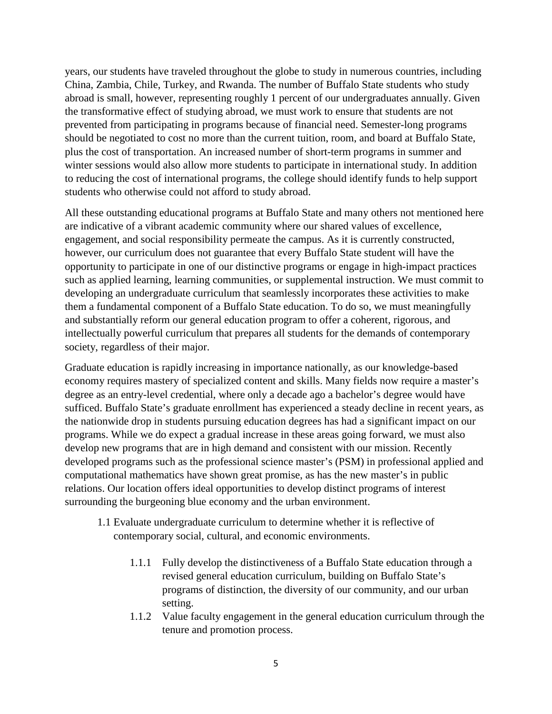years, our students have traveled throughout the globe to study in numerous countries, including China, Zambia, Chile, Turkey, and Rwanda. The number of Buffalo State students who study abroad is small, however, representing roughly 1 percent of our undergraduates annually. Given the transformative effect of studying abroad, we must work to ensure that students are not prevented from participating in programs because of financial need. Semester-long programs should be negotiated to cost no more than the current tuition, room, and board at Buffalo State, plus the cost of transportation. An increased number of short-term programs in summer and winter sessions would also allow more students to participate in international study. In addition to reducing the cost of international programs, the college should identify funds to help support students who otherwise could not afford to study abroad.

All these outstanding educational programs at Buffalo State and many others not mentioned here are indicative of a vibrant academic community where our shared values of excellence, engagement, and social responsibility permeate the campus. As it is currently constructed, however, our curriculum does not guarantee that every Buffalo State student will have the opportunity to participate in one of our distinctive programs or engage in high-impact practices such as applied learning, learning communities, or supplemental instruction. We must commit to developing an undergraduate curriculum that seamlessly incorporates these activities to make them a fundamental component of a Buffalo State education. To do so, we must meaningfully and substantially reform our general education program to offer a coherent, rigorous, and intellectually powerful curriculum that prepares all students for the demands of contemporary society, regardless of their major.

Graduate education is rapidly increasing in importance nationally, as our knowledge-based economy requires mastery of specialized content and skills. Many fields now require a master's degree as an entry-level credential, where only a decade ago a bachelor's degree would have sufficed. Buffalo State's graduate enrollment has experienced a steady decline in recent years, as the nationwide drop in students pursuing education degrees has had a significant impact on our programs. While we do expect a gradual increase in these areas going forward, we must also develop new programs that are in high demand and consistent with our mission. Recently developed programs such as the professional science master's (PSM) in professional applied and computational mathematics have shown great promise, as has the new master's in public relations. Our location offers ideal opportunities to develop distinct programs of interest surrounding the burgeoning blue economy and the urban environment.

- 1.1 Evaluate undergraduate curriculum to determine whether it is reflective of contemporary social, cultural, and economic environments.
	- 1.1.1 Fully develop the distinctiveness of a Buffalo State education through a revised general education curriculum, building on Buffalo State's programs of distinction, the diversity of our community, and our urban setting.
	- 1.1.2 Value faculty engagement in the general education curriculum through the tenure and promotion process.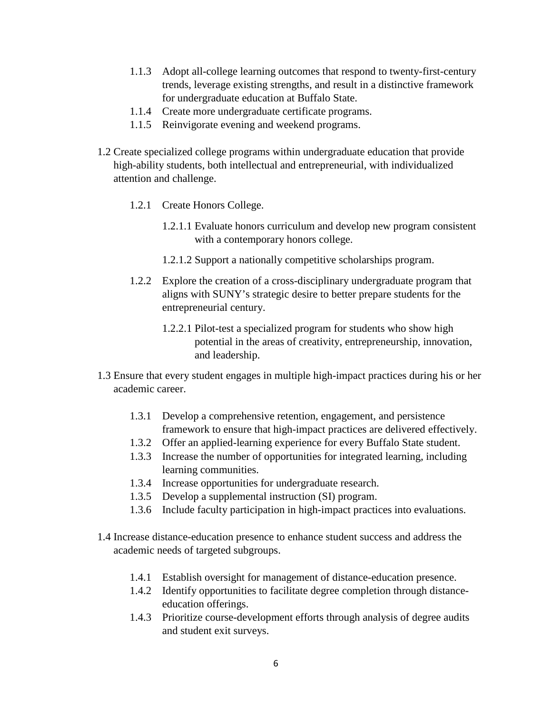- 1.1.3 Adopt all-college learning outcomes that respond to twenty-first-century trends, leverage existing strengths, and result in a distinctive framework for undergraduate education at Buffalo State.
- 1.1.4 Create more undergraduate certificate programs.
- 1.1.5 Reinvigorate evening and weekend programs.
- 1.2 Create specialized college programs within undergraduate education that provide high-ability students, both intellectual and entrepreneurial, with individualized attention and challenge.
	- 1.2.1 Create Honors College.
		- 1.2.1.1 Evaluate honors curriculum and develop new program consistent with a contemporary honors college.
		- 1.2.1.2 Support a nationally competitive scholarships program.
	- 1.2.2 Explore the creation of a cross-disciplinary undergraduate program that aligns with SUNY's strategic desire to better prepare students for the entrepreneurial century.
		- 1.2.2.1 Pilot-test a specialized program for students who show high potential in the areas of creativity, entrepreneurship, innovation, and leadership.
- 1.3 Ensure that every student engages in multiple high-impact practices during his or her academic career.
	- 1.3.1 Develop a comprehensive retention, engagement, and persistence framework to ensure that high-impact practices are delivered effectively.
	- 1.3.2 Offer an applied-learning experience for every Buffalo State student.
	- 1.3.3 Increase the number of opportunities for integrated learning, including learning communities.
	- 1.3.4 Increase opportunities for undergraduate research.
	- 1.3.5 Develop a supplemental instruction (SI) program.
	- 1.3.6 Include faculty participation in high-impact practices into evaluations.
- 1.4 Increase distance-education presence to enhance student success and address the academic needs of targeted subgroups.
	- 1.4.1 Establish oversight for management of distance-education presence.
	- 1.4.2 Identify opportunities to facilitate degree completion through distanceeducation offerings.
	- 1.4.3 Prioritize course-development efforts through analysis of degree audits and student exit surveys.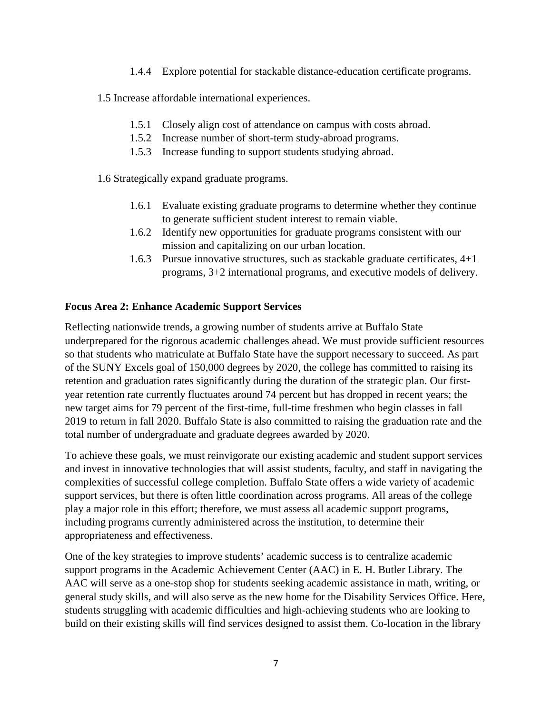1.4.4 Explore potential for stackable distance-education certificate programs.

1.5 Increase affordable international experiences.

- 1.5.1 Closely align cost of attendance on campus with costs abroad.
- 1.5.2 Increase number of short-term study-abroad programs.
- 1.5.3 Increase funding to support students studying abroad.

1.6 Strategically expand graduate programs.

- 1.6.1 Evaluate existing graduate programs to determine whether they continue to generate sufficient student interest to remain viable.
- 1.6.2 Identify new opportunities for graduate programs consistent with our mission and capitalizing on our urban location.
- 1.6.3 Pursue innovative structures, such as stackable graduate certificates, 4+1 programs, 3+2 international programs, and executive models of delivery.

## **Focus Area 2: Enhance Academic Support Services**

Reflecting nationwide trends, a growing number of students arrive at Buffalo State underprepared for the rigorous academic challenges ahead. We must provide sufficient resources so that students who matriculate at Buffalo State have the support necessary to succeed. As part of the SUNY Excels goal of 150,000 degrees by 2020, the college has committed to raising its retention and graduation rates significantly during the duration of the strategic plan. Our firstyear retention rate currently fluctuates around 74 percent but has dropped in recent years; the new target aims for 79 percent of the first-time, full-time freshmen who begin classes in fall 2019 to return in fall 2020. Buffalo State is also committed to raising the graduation rate and the total number of undergraduate and graduate degrees awarded by 2020.

To achieve these goals, we must reinvigorate our existing academic and student support services and invest in innovative technologies that will assist students, faculty, and staff in navigating the complexities of successful college completion. Buffalo State offers a wide variety of academic support services, but there is often little coordination across programs. All areas of the college play a major role in this effort; therefore, we must assess all academic support programs, including programs currently administered across the institution, to determine their appropriateness and effectiveness.

One of the key strategies to improve students' academic success is to centralize academic support programs in the Academic Achievement Center (AAC) in E. H. Butler Library. The AAC will serve as a one-stop shop for students seeking academic assistance in math, writing, or general study skills, and will also serve as the new home for the Disability Services Office. Here, students struggling with academic difficulties and high-achieving students who are looking to build on their existing skills will find services designed to assist them. Co-location in the library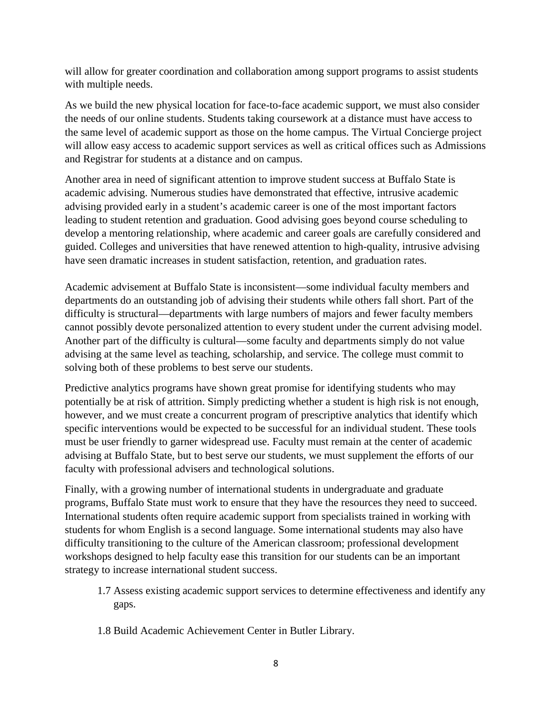will allow for greater coordination and collaboration among support programs to assist students with multiple needs.

As we build the new physical location for face-to-face academic support, we must also consider the needs of our online students. Students taking coursework at a distance must have access to the same level of academic support as those on the home campus. The Virtual Concierge project will allow easy access to academic support services as well as critical offices such as Admissions and Registrar for students at a distance and on campus.

Another area in need of significant attention to improve student success at Buffalo State is academic advising. Numerous studies have demonstrated that effective, intrusive academic advising provided early in a student's academic career is one of the most important factors leading to student retention and graduation. Good advising goes beyond course scheduling to develop a mentoring relationship, where academic and career goals are carefully considered and guided. Colleges and universities that have renewed attention to high-quality, intrusive advising have seen dramatic increases in student satisfaction, retention, and graduation rates.

Academic advisement at Buffalo State is inconsistent—some individual faculty members and departments do an outstanding job of advising their students while others fall short. Part of the difficulty is structural—departments with large numbers of majors and fewer faculty members cannot possibly devote personalized attention to every student under the current advising model. Another part of the difficulty is cultural—some faculty and departments simply do not value advising at the same level as teaching, scholarship, and service. The college must commit to solving both of these problems to best serve our students.

Predictive analytics programs have shown great promise for identifying students who may potentially be at risk of attrition. Simply predicting whether a student is high risk is not enough, however, and we must create a concurrent program of prescriptive analytics that identify which specific interventions would be expected to be successful for an individual student. These tools must be user friendly to garner widespread use. Faculty must remain at the center of academic advising at Buffalo State, but to best serve our students, we must supplement the efforts of our faculty with professional advisers and technological solutions.

Finally, with a growing number of international students in undergraduate and graduate programs, Buffalo State must work to ensure that they have the resources they need to succeed. International students often require academic support from specialists trained in working with students for whom English is a second language. Some international students may also have difficulty transitioning to the culture of the American classroom; professional development workshops designed to help faculty ease this transition for our students can be an important strategy to increase international student success.

- 1.7 Assess existing academic support services to determine effectiveness and identify any gaps.
- 1.8 Build Academic Achievement Center in Butler Library.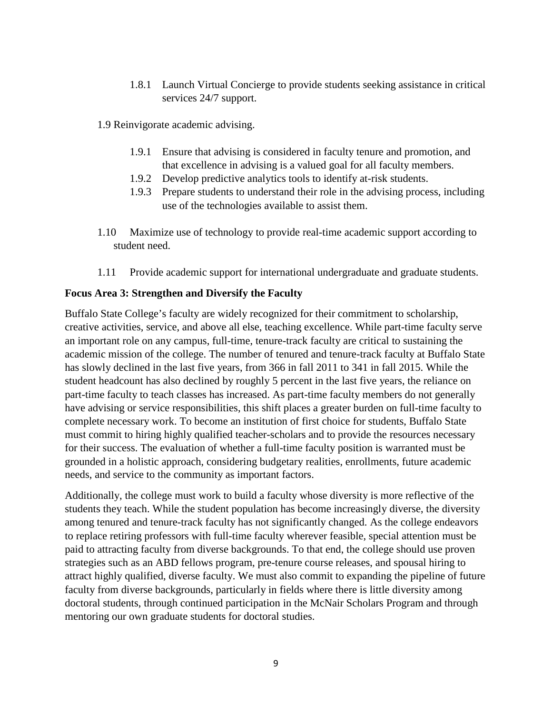- 1.8.1 Launch Virtual Concierge to provide students seeking assistance in critical services 24/7 support.
- 1.9 Reinvigorate academic advising.
	- 1.9.1 Ensure that advising is considered in faculty tenure and promotion, and that excellence in advising is a valued goal for all faculty members.
	- 1.9.2 Develop predictive analytics tools to identify at-risk students.
	- 1.9.3 Prepare students to understand their role in the advising process, including use of the technologies available to assist them.
- 1.10 Maximize use of technology to provide real-time academic support according to student need.
- 1.11 Provide academic support for international undergraduate and graduate students.

### **Focus Area 3: Strengthen and Diversify the Faculty**

Buffalo State College's faculty are widely recognized for their commitment to scholarship, creative activities, service, and above all else, teaching excellence. While part-time faculty serve an important role on any campus, full-time, tenure-track faculty are critical to sustaining the academic mission of the college. The number of tenured and tenure-track faculty at Buffalo State has slowly declined in the last five years, from 366 in fall 2011 to 341 in fall 2015. While the student headcount has also declined by roughly 5 percent in the last five years, the reliance on part-time faculty to teach classes has increased. As part-time faculty members do not generally have advising or service responsibilities, this shift places a greater burden on full-time faculty to complete necessary work. To become an institution of first choice for students, Buffalo State must commit to hiring highly qualified teacher-scholars and to provide the resources necessary for their success. The evaluation of whether a full-time faculty position is warranted must be grounded in a holistic approach, considering budgetary realities, enrollments, future academic needs, and service to the community as important factors.

Additionally, the college must work to build a faculty whose diversity is more reflective of the students they teach. While the student population has become increasingly diverse, the diversity among tenured and tenure-track faculty has not significantly changed. As the college endeavors to replace retiring professors with full-time faculty wherever feasible, special attention must be paid to attracting faculty from diverse backgrounds. To that end, the college should use proven strategies such as an ABD fellows program, pre-tenure course releases, and spousal hiring to attract highly qualified, diverse faculty. We must also commit to expanding the pipeline of future faculty from diverse backgrounds, particularly in fields where there is little diversity among doctoral students, through continued participation in the McNair Scholars Program and through mentoring our own graduate students for doctoral studies.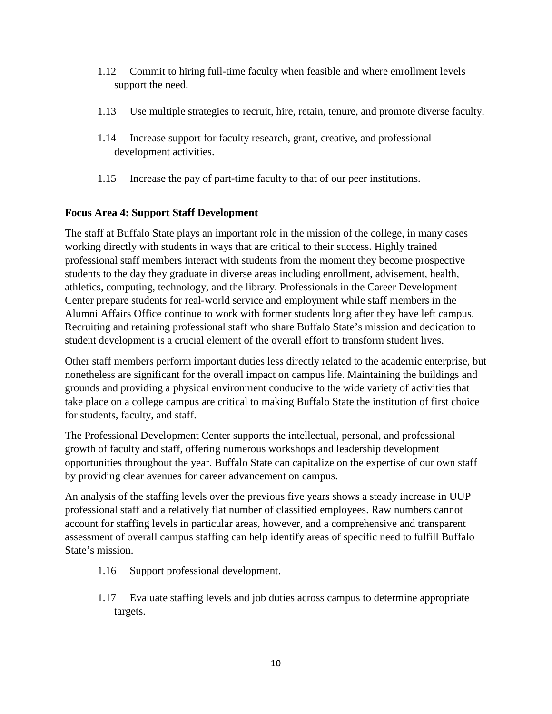- 1.12 Commit to hiring full-time faculty when feasible and where enrollment levels support the need.
- 1.13 Use multiple strategies to recruit, hire, retain, tenure, and promote diverse faculty.
- 1.14 Increase support for faculty research, grant, creative, and professional development activities.
- 1.15 Increase the pay of part-time faculty to that of our peer institutions.

## **Focus Area 4: Support Staff Development**

The staff at Buffalo State plays an important role in the mission of the college, in many cases working directly with students in ways that are critical to their success. Highly trained professional staff members interact with students from the moment they become prospective students to the day they graduate in diverse areas including enrollment, advisement, health, athletics, computing, technology, and the library. Professionals in the Career Development Center prepare students for real-world service and employment while staff members in the Alumni Affairs Office continue to work with former students long after they have left campus. Recruiting and retaining professional staff who share Buffalo State's mission and dedication to student development is a crucial element of the overall effort to transform student lives.

Other staff members perform important duties less directly related to the academic enterprise, but nonetheless are significant for the overall impact on campus life. Maintaining the buildings and grounds and providing a physical environment conducive to the wide variety of activities that take place on a college campus are critical to making Buffalo State the institution of first choice for students, faculty, and staff.

The Professional Development Center supports the intellectual, personal, and professional growth of faculty and staff, offering numerous workshops and leadership development opportunities throughout the year. Buffalo State can capitalize on the expertise of our own staff by providing clear avenues for career advancement on campus.

An analysis of the staffing levels over the previous five years shows a steady increase in UUP professional staff and a relatively flat number of classified employees. Raw numbers cannot account for staffing levels in particular areas, however, and a comprehensive and transparent assessment of overall campus staffing can help identify areas of specific need to fulfill Buffalo State's mission.

- 1.16 Support professional development.
- 1.17 Evaluate staffing levels and job duties across campus to determine appropriate targets.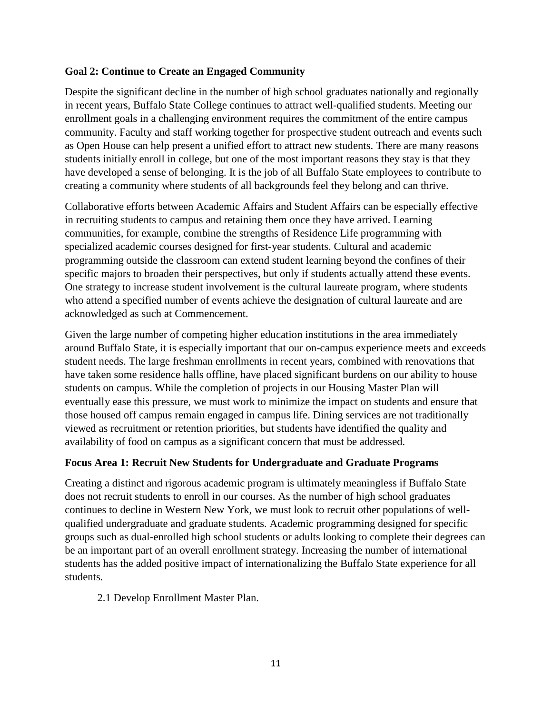### **Goal 2: Continue to Create an Engaged Community**

Despite the significant decline in the number of high school graduates nationally and regionally in recent years, Buffalo State College continues to attract well-qualified students. Meeting our enrollment goals in a challenging environment requires the commitment of the entire campus community. Faculty and staff working together for prospective student outreach and events such as Open House can help present a unified effort to attract new students. There are many reasons students initially enroll in college, but one of the most important reasons they stay is that they have developed a sense of belonging. It is the job of all Buffalo State employees to contribute to creating a community where students of all backgrounds feel they belong and can thrive.

Collaborative efforts between Academic Affairs and Student Affairs can be especially effective in recruiting students to campus and retaining them once they have arrived. Learning communities, for example, combine the strengths of Residence Life programming with specialized academic courses designed for first-year students. Cultural and academic programming outside the classroom can extend student learning beyond the confines of their specific majors to broaden their perspectives, but only if students actually attend these events. One strategy to increase student involvement is the cultural laureate program, where students who attend a specified number of events achieve the designation of cultural laureate and are acknowledged as such at Commencement.

Given the large number of competing higher education institutions in the area immediately around Buffalo State, it is especially important that our on-campus experience meets and exceeds student needs. The large freshman enrollments in recent years, combined with renovations that have taken some residence halls offline, have placed significant burdens on our ability to house students on campus. While the completion of projects in our Housing Master Plan will eventually ease this pressure, we must work to minimize the impact on students and ensure that those housed off campus remain engaged in campus life. Dining services are not traditionally viewed as recruitment or retention priorities, but students have identified the quality and availability of food on campus as a significant concern that must be addressed.

#### **Focus Area 1: Recruit New Students for Undergraduate and Graduate Programs**

Creating a distinct and rigorous academic program is ultimately meaningless if Buffalo State does not recruit students to enroll in our courses. As the number of high school graduates continues to decline in Western New York, we must look to recruit other populations of wellqualified undergraduate and graduate students. Academic programming designed for specific groups such as dual-enrolled high school students or adults looking to complete their degrees can be an important part of an overall enrollment strategy. Increasing the number of international students has the added positive impact of internationalizing the Buffalo State experience for all students.

2.1 Develop Enrollment Master Plan.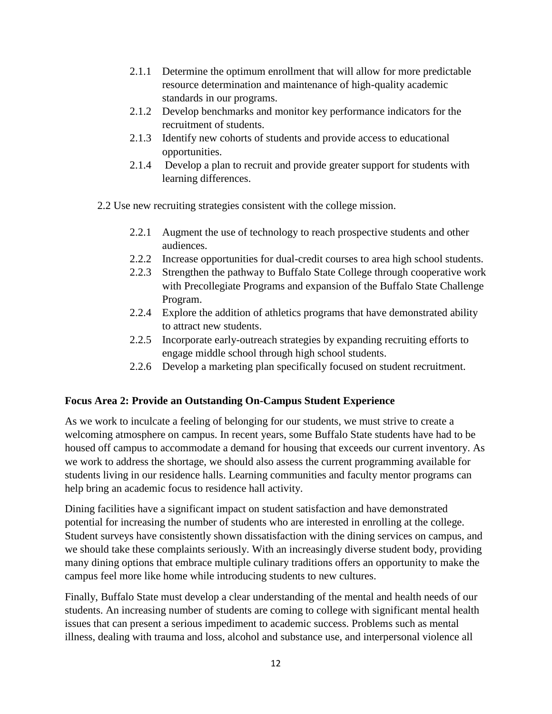- 2.1.1 Determine the optimum enrollment that will allow for more predictable resource determination and maintenance of high-quality academic standards in our programs.
- 2.1.2 Develop benchmarks and monitor key performance indicators for the recruitment of students.
- 2.1.3 Identify new cohorts of students and provide access to educational opportunities.
- 2.1.4 Develop a plan to recruit and provide greater support for students with learning differences.
- 2.2 Use new recruiting strategies consistent with the college mission.
	- 2.2.1 Augment the use of technology to reach prospective students and other audiences.
	- 2.2.2 Increase opportunities for dual-credit courses to area high school students.
	- 2.2.3 Strengthen the pathway to Buffalo State College through cooperative work with Precollegiate Programs and expansion of the Buffalo State Challenge Program.
	- 2.2.4 Explore the addition of athletics programs that have demonstrated ability to attract new students.
	- 2.2.5 Incorporate early-outreach strategies by expanding recruiting efforts to engage middle school through high school students.
	- 2.2.6 Develop a marketing plan specifically focused on student recruitment.

# **Focus Area 2: Provide an Outstanding On-Campus Student Experience**

As we work to inculcate a feeling of belonging for our students, we must strive to create a welcoming atmosphere on campus. In recent years, some Buffalo State students have had to be housed off campus to accommodate a demand for housing that exceeds our current inventory. As we work to address the shortage, we should also assess the current programming available for students living in our residence halls. Learning communities and faculty mentor programs can help bring an academic focus to residence hall activity.

Dining facilities have a significant impact on student satisfaction and have demonstrated potential for increasing the number of students who are interested in enrolling at the college. Student surveys have consistently shown dissatisfaction with the dining services on campus, and we should take these complaints seriously. With an increasingly diverse student body, providing many dining options that embrace multiple culinary traditions offers an opportunity to make the campus feel more like home while introducing students to new cultures.

Finally, Buffalo State must develop a clear understanding of the mental and health needs of our students. An increasing number of students are coming to college with significant mental health issues that can present a serious impediment to academic success. Problems such as mental illness, dealing with trauma and loss, alcohol and substance use, and interpersonal violence all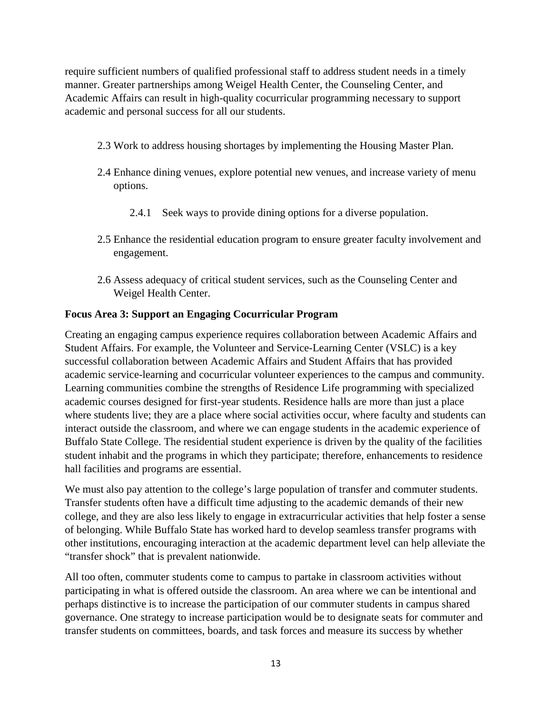require sufficient numbers of qualified professional staff to address student needs in a timely manner. Greater partnerships among Weigel Health Center, the Counseling Center, and Academic Affairs can result in high-quality cocurricular programming necessary to support academic and personal success for all our students.

- 2.3 Work to address housing shortages by implementing the Housing Master Plan.
- 2.4 Enhance dining venues, explore potential new venues, and increase variety of menu options.
	- 2.4.1 Seek ways to provide dining options for a diverse population.
- 2.5 Enhance the residential education program to ensure greater faculty involvement and engagement.
- 2.6 Assess adequacy of critical student services, such as the Counseling Center and Weigel Health Center.

### **Focus Area 3: Support an Engaging Cocurricular Program**

Creating an engaging campus experience requires collaboration between Academic Affairs and Student Affairs. For example, the Volunteer and Service-Learning Center (VSLC) is a key successful collaboration between Academic Affairs and Student Affairs that has provided academic service-learning and cocurricular volunteer experiences to the campus and community. Learning communities combine the strengths of Residence Life programming with specialized academic courses designed for first-year students. Residence halls are more than just a place where students live; they are a place where social activities occur, where faculty and students can interact outside the classroom, and where we can engage students in the academic experience of Buffalo State College. The residential student experience is driven by the quality of the facilities student inhabit and the programs in which they participate; therefore, enhancements to residence hall facilities and programs are essential.

We must also pay attention to the college's large population of transfer and commuter students. Transfer students often have a difficult time adjusting to the academic demands of their new college, and they are also less likely to engage in extracurricular activities that help foster a sense of belonging. While Buffalo State has worked hard to develop seamless transfer programs with other institutions, encouraging interaction at the academic department level can help alleviate the "transfer shock" that is prevalent nationwide.

All too often, commuter students come to campus to partake in classroom activities without participating in what is offered outside the classroom. An area where we can be intentional and perhaps distinctive is to increase the participation of our commuter students in campus shared governance. One strategy to increase participation would be to designate seats for commuter and transfer students on committees, boards, and task forces and measure its success by whether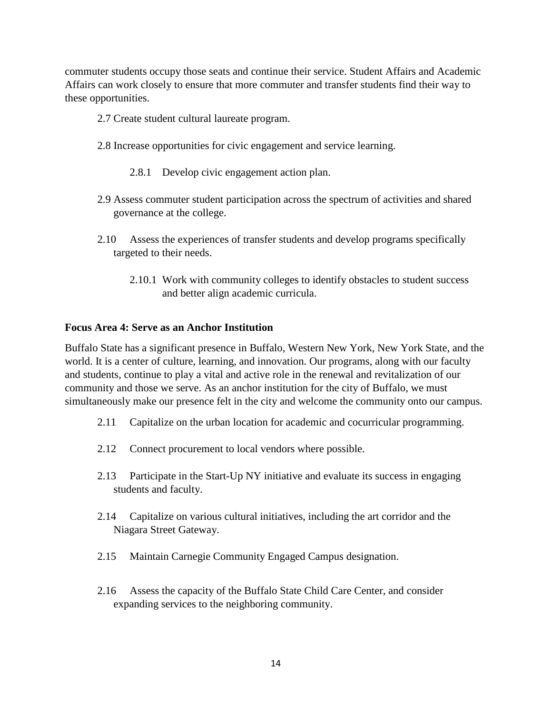commuter students occupy those seats and continue their service. Student Affairs and Academic Affairs can work closely to ensure that more commuter and transfer students find their way to these opportunities.

- 2.7 Create student cultural laureate program.
- 2.8 Increase opportunities for civic engagement and service learning.
	- 2.8.1 Develop civic engagement action plan.
- 2.9 Assess commuter student participation across the spectrum of activities and shared governance at the college.
- 2.10 Assess the experiences of transfer students and develop programs specifically targeted to their needs.
	- 2.10.1 Work with community colleges to identify obstacles to student success and better align academic curricula.

#### **Focus Area 4: Serve as an Anchor Institution**

Buffalo State has a significant presence in Buffalo, Western New York, New York State, and the world. It is a center of culture, learning, and innovation. Our programs, along with our faculty and students, continue to play a vital and active role in the renewal and revitalization of our community and those we serve. As an anchor institution for the city of Buffalo, we must simultaneously make our presence felt in the city and welcome the community onto our campus.

- 2.11 Capitalize on the urban location for academic and cocurricular programming.
- 2.12 Connect procurement to local vendors where possible.
- 2.13 Participate in the Start-Up NY initiative and evaluate its success in engaging students and faculty.
- 2.14 Capitalize on various cultural initiatives, including the art corridor and the Niagara Street Gateway.
- 2.15 Maintain Carnegie Community Engaged Campus designation.
- 2.16 Assess the capacity of the Buffalo State Child Care Center, and consider expanding services to the neighboring community.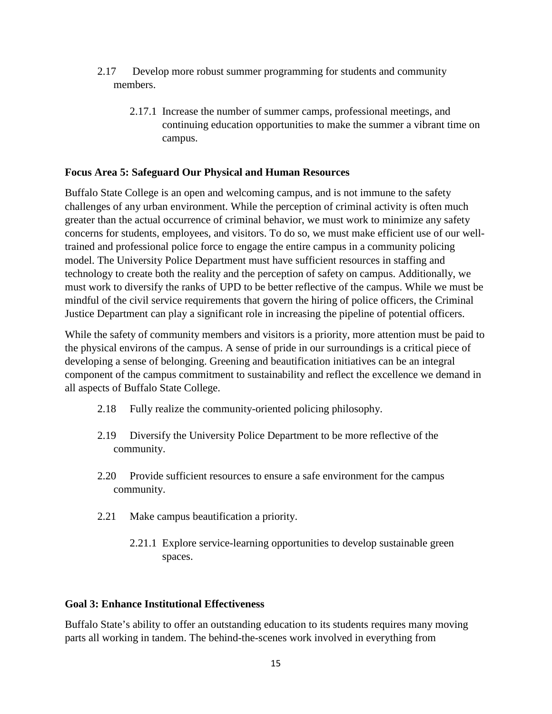- 2.17 Develop more robust summer programming for students and community members.
	- 2.17.1 Increase the number of summer camps, professional meetings, and continuing education opportunities to make the summer a vibrant time on campus.

## **Focus Area 5: Safeguard Our Physical and Human Resources**

Buffalo State College is an open and welcoming campus, and is not immune to the safety challenges of any urban environment. While the perception of criminal activity is often much greater than the actual occurrence of criminal behavior, we must work to minimize any safety concerns for students, employees, and visitors. To do so, we must make efficient use of our welltrained and professional police force to engage the entire campus in a community policing model. The University Police Department must have sufficient resources in staffing and technology to create both the reality and the perception of safety on campus. Additionally, we must work to diversify the ranks of UPD to be better reflective of the campus. While we must be mindful of the civil service requirements that govern the hiring of police officers, the Criminal Justice Department can play a significant role in increasing the pipeline of potential officers.

While the safety of community members and visitors is a priority, more attention must be paid to the physical environs of the campus. A sense of pride in our surroundings is a critical piece of developing a sense of belonging. Greening and beautification initiatives can be an integral component of the campus commitment to sustainability and reflect the excellence we demand in all aspects of Buffalo State College.

- 2.18 Fully realize the community-oriented policing philosophy.
- 2.19 Diversify the University Police Department to be more reflective of the community.
- 2.20 Provide sufficient resources to ensure a safe environment for the campus community.
- 2.21 Make campus beautification a priority.
	- 2.21.1 Explore service-learning opportunities to develop sustainable green spaces.

## **Goal 3: Enhance Institutional Effectiveness**

Buffalo State's ability to offer an outstanding education to its students requires many moving parts all working in tandem. The behind-the-scenes work involved in everything from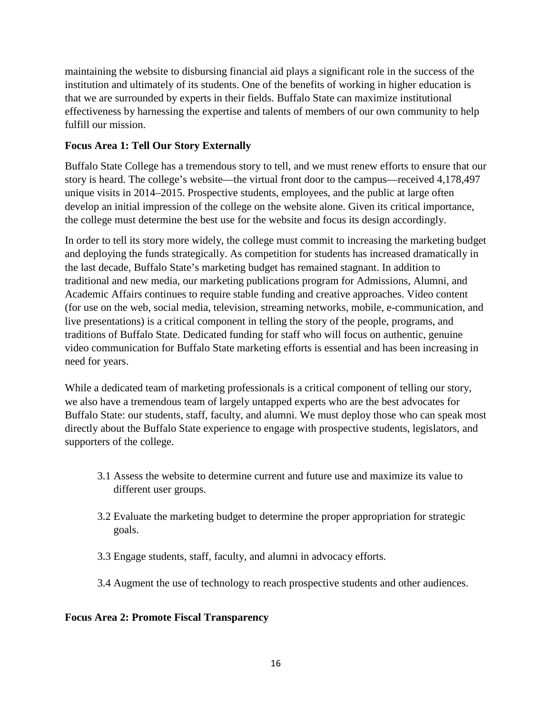maintaining the website to disbursing financial aid plays a significant role in the success of the institution and ultimately of its students. One of the benefits of working in higher education is that we are surrounded by experts in their fields. Buffalo State can maximize institutional effectiveness by harnessing the expertise and talents of members of our own community to help fulfill our mission.

## **Focus Area 1: Tell Our Story Externally**

Buffalo State College has a tremendous story to tell, and we must renew efforts to ensure that our story is heard. The college's website—the virtual front door to the campus—received 4,178,497 unique visits in 2014–2015. Prospective students, employees, and the public at large often develop an initial impression of the college on the website alone. Given its critical importance, the college must determine the best use for the website and focus its design accordingly.

In order to tell its story more widely, the college must commit to increasing the marketing budget and deploying the funds strategically. As competition for students has increased dramatically in the last decade, Buffalo State's marketing budget has remained stagnant. In addition to traditional and new media, our marketing publications program for Admissions, Alumni, and Academic Affairs continues to require stable funding and creative approaches. Video content (for use on the web, social media, television, streaming networks, mobile, e-communication, and live presentations) is a critical component in telling the story of the people, programs, and traditions of Buffalo State. Dedicated funding for staff who will focus on authentic, genuine video communication for Buffalo State marketing efforts is essential and has been increasing in need for years.

While a dedicated team of marketing professionals is a critical component of telling our story, we also have a tremendous team of largely untapped experts who are the best advocates for Buffalo State: our students, staff, faculty, and alumni. We must deploy those who can speak most directly about the Buffalo State experience to engage with prospective students, legislators, and supporters of the college.

- 3.1 Assess the website to determine current and future use and maximize its value to different user groups.
- 3.2 Evaluate the marketing budget to determine the proper appropriation for strategic goals.
- 3.3 Engage students, staff, faculty, and alumni in advocacy efforts.
- 3.4 Augment the use of technology to reach prospective students and other audiences.

## **Focus Area 2: Promote Fiscal Transparency**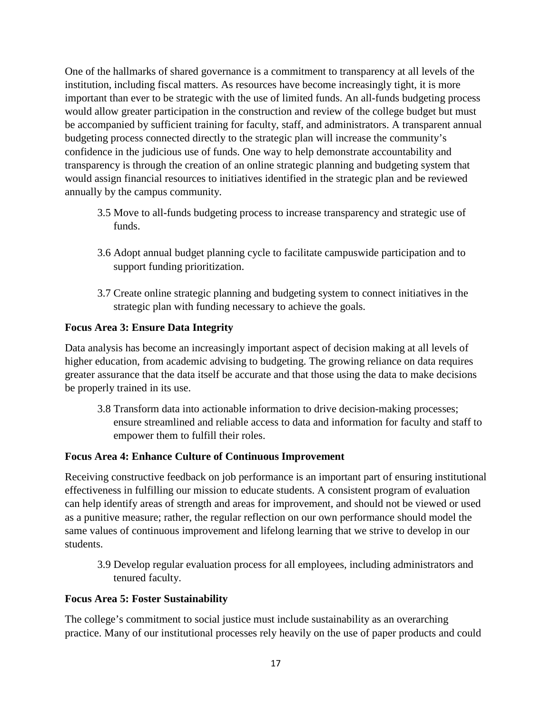One of the hallmarks of shared governance is a commitment to transparency at all levels of the institution, including fiscal matters. As resources have become increasingly tight, it is more important than ever to be strategic with the use of limited funds. An all-funds budgeting process would allow greater participation in the construction and review of the college budget but must be accompanied by sufficient training for faculty, staff, and administrators. A transparent annual budgeting process connected directly to the strategic plan will increase the community's confidence in the judicious use of funds. One way to help demonstrate accountability and transparency is through the creation of an online strategic planning and budgeting system that would assign financial resources to initiatives identified in the strategic plan and be reviewed annually by the campus community.

- 3.5 Move to all-funds budgeting process to increase transparency and strategic use of funds.
- 3.6 Adopt annual budget planning cycle to facilitate campuswide participation and to support funding prioritization.
- 3.7 Create online strategic planning and budgeting system to connect initiatives in the strategic plan with funding necessary to achieve the goals.

## **Focus Area 3: Ensure Data Integrity**

Data analysis has become an increasingly important aspect of decision making at all levels of higher education, from academic advising to budgeting. The growing reliance on data requires greater assurance that the data itself be accurate and that those using the data to make decisions be properly trained in its use.

3.8 Transform data into actionable information to drive decision-making processes; ensure streamlined and reliable access to data and information for faculty and staff to empower them to fulfill their roles.

## **Focus Area 4: Enhance Culture of Continuous Improvement**

Receiving constructive feedback on job performance is an important part of ensuring institutional effectiveness in fulfilling our mission to educate students. A consistent program of evaluation can help identify areas of strength and areas for improvement, and should not be viewed or used as a punitive measure; rather, the regular reflection on our own performance should model the same values of continuous improvement and lifelong learning that we strive to develop in our students.

3.9 Develop regular evaluation process for all employees, including administrators and tenured faculty.

## **Focus Area 5: Foster Sustainability**

The college's commitment to social justice must include sustainability as an overarching practice. Many of our institutional processes rely heavily on the use of paper products and could